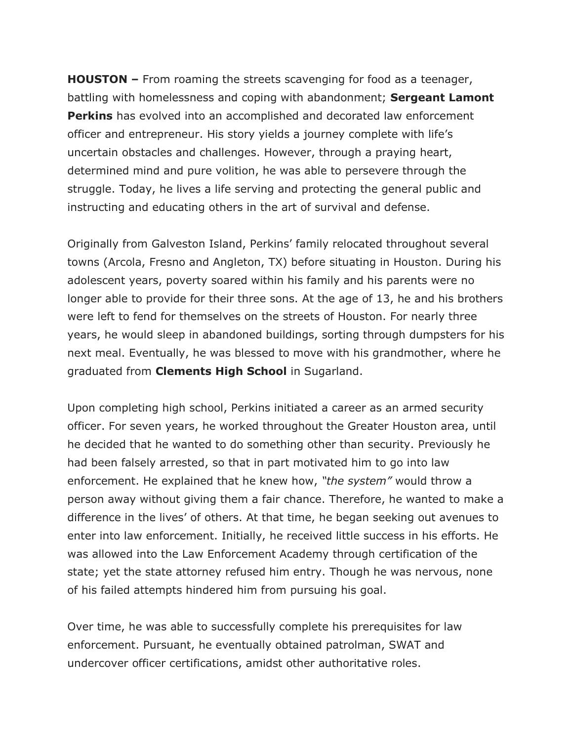**HOUSTON –** From roaming the streets scavenging for food as a teenager, battling with homelessness and coping with abandonment; **Sergeant Lamont Perkins** has evolved into an accomplished and decorated law enforcement officer and entrepreneur. His story yields a journey complete with life's uncertain obstacles and challenges. However, through a praying heart, determined mind and pure volition, he was able to persevere through the struggle. Today, he lives a life serving and protecting the general public and instructing and educating others in the art of survival and defense.

Originally from Galveston Island, Perkins' family relocated throughout several towns (Arcola, Fresno and Angleton, TX) before situating in Houston. During his adolescent years, poverty soared within his family and his parents were no longer able to provide for their three sons. At the age of 13, he and his brothers were left to fend for themselves on the streets of Houston. For nearly three years, he would sleep in abandoned buildings, sorting through dumpsters for his next meal. Eventually, he was blessed to move with his grandmother, where he graduated from **Clements High School** in Sugarland.

Upon completing high school, Perkins initiated a career as an armed security officer. For seven years, he worked throughout the Greater Houston area, until he decided that he wanted to do something other than security. Previously he had been falsely arrested, so that in part motivated him to go into law enforcement. He explained that he knew how, *"the system"* would throw a person away without giving them a fair chance. Therefore, he wanted to make a difference in the lives' of others. At that time, he began seeking out avenues to enter into law enforcement. Initially, he received little success in his efforts. He was allowed into the Law Enforcement Academy through certification of the state; yet the state attorney refused him entry. Though he was nervous, none of his failed attempts hindered him from pursuing his goal.

Over time, he was able to successfully complete his prerequisites for law enforcement. Pursuant, he eventually obtained patrolman, SWAT and undercover officer certifications, amidst other authoritative roles.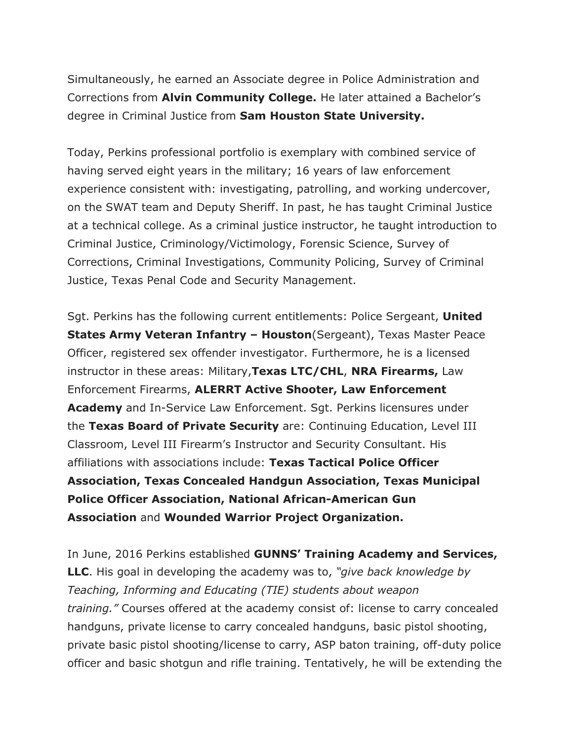Simultaneously, he earned an Associate degree in Police Administration and Corrections from **Alvin Community College.** He later attained a Bachelor's degree in Criminal Justice from **Sam Houston State University.**

Today, Perkins professional portfolio is exemplary with combined service of having served eight years in the military; 16 years of law enforcement experience consistent with: investigating, patrolling, and working undercover, on the SWAT team and Deputy Sheriff. In past, he has taught Criminal Justice at a technical college. As a criminal justice instructor, he taught introduction to Criminal Justice, Criminology/Victimology, Forensic Science, Survey of Corrections, Criminal Investigations, Community Policing, Survey of Criminal Justice, Texas Penal Code and Security Management.

Sgt. Perkins has the following current entitlements: Police Sergeant, **United States Army Veteran Infantry – Houston**(Sergeant), Texas Master Peace Officer, registered sex offender investigator. Furthermore, he is a licensed instructor in these areas: Military,**Texas LTC/CHL**, **NRA Firearms,** Law Enforcement Firearms, **ALERRT Active Shooter, Law Enforcement Academy** and In-Service Law Enforcement. Sgt. Perkins licensures under the **Texas Board of Private Security** are: Continuing Education, Level III Classroom, Level III Firearm's Instructor and Security Consultant. His affiliations with associations include: **Texas Tactical Police Officer Association, Texas Concealed Handgun Association, Texas Municipal Police Officer Association, National African-American Gun Association** and **Wounded Warrior Project Organization.**

In June, 2016 Perkins established **GUNNS' Training Academy and Services, LLC**. His goal in developing the academy was to, *"give back knowledge by Teaching, Informing and Educating (TIE) students about weapon training."* Courses offered at the academy consist of: license to carry concealed handguns, private license to carry concealed handguns, basic pistol shooting, private basic pistol shooting/license to carry, ASP baton training, off-duty police officer and basic shotgun and rifle training. Tentatively, he will be extending the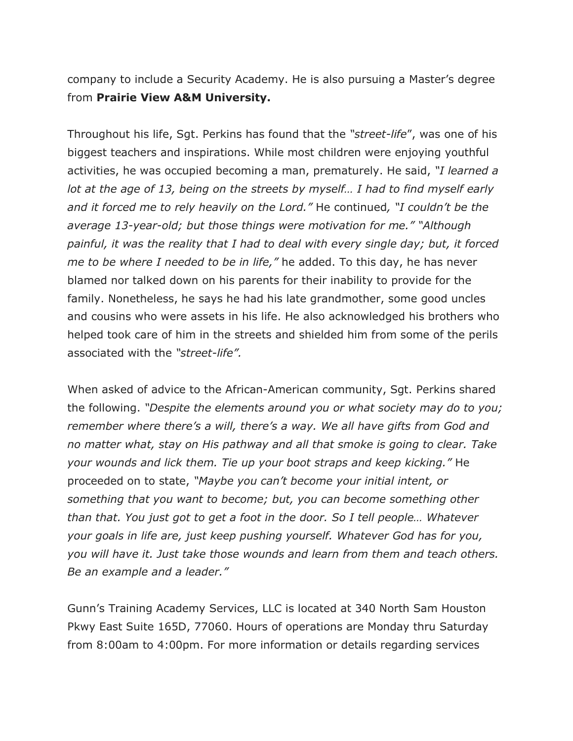company to include a Security Academy. He is also pursuing a Master's degree from **Prairie View A&M University.**

Throughout his life, Sgt. Perkins has found that the *"street-life*", was one of his biggest teachers and inspirations. While most children were enjoying youthful activities, he was occupied becoming a man, prematurely. He said, *"I learned a lot at the age of 13, being on the streets by myself… I had to find myself early and it forced me to rely heavily on the Lord."* He continued*, "I couldn't be the average 13-year-old; but those things were motivation for me." "Although painful, it was the reality that I had to deal with every single day; but, it forced me to be where I needed to be in life,"* he added. To this day, he has never blamed nor talked down on his parents for their inability to provide for the family. Nonetheless, he says he had his late grandmother, some good uncles and cousins who were assets in his life. He also acknowledged his brothers who helped took care of him in the streets and shielded him from some of the perils associated with the *"street-life".*

When asked of advice to the African-American community, Sgt. Perkins shared the following. *"Despite the elements around you or what society may do to you; remember where there's a will, there's a way. We all have gifts from God and no matter what, stay on His pathway and all that smoke is going to clear. Take your wounds and lick them. Tie up your boot straps and keep kicking."* He proceeded on to state, *"Maybe you can't become your initial intent, or something that you want to become; but, you can become something other than that. You just got to get a foot in the door. So I tell people… Whatever your goals in life are, just keep pushing yourself. Whatever God has for you, you will have it. Just take those wounds and learn from them and teach others. Be an example and a leader."*

Gunn's Training Academy Services, LLC is located at 340 North Sam Houston Pkwy East Suite 165D, 77060. Hours of operations are Monday thru Saturday from 8:00am to 4:00pm. For more information or details regarding services